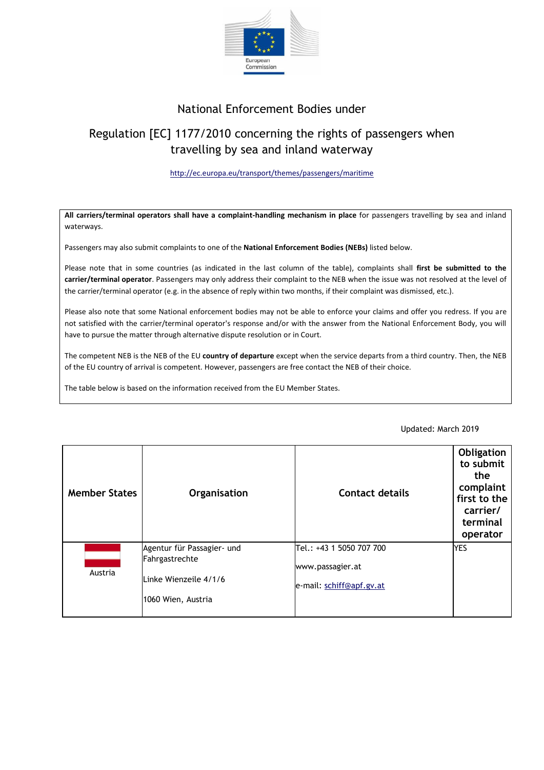

## National Enforcement Bodies under

# Regulation [EC] 1177/2010 concerning the rights of passengers when travelling by sea and inland waterway

#### <http://ec.europa.eu/transport/themes/passengers/maritime>

**All carriers/terminal operators shall have a complaint-handling mechanism in place** for passengers travelling by sea and inland waterways.

Passengers may also submit complaints to one of the **National Enforcement Bodies (NEBs)** listed below.

Please note that in some countries (as indicated in the last column of the table), complaints shall **first be submitted to the carrier/terminal operator**. Passengers may only address their complaint to the NEB when the issue was not resolved at the level of the carrier/terminal operator (e.g. in the absence of reply within two months, if their complaint was dismissed, etc.).

Please also note that some National enforcement bodies may not be able to enforce your claims and offer you redress. If you are not satisfied with the carrier/terminal operator's response and/or with the answer from the National Enforcement Body, you will have to pursue the matter through alternative dispute resolution or in Court.

The competent NEB is the NEB of the EU **country of departure** except when the service departs from a third country. Then, the NEB of the EU country of arrival is competent. However, passengers are free contact the NEB of their choice.

The table below is based on the information received from the EU Member States.

#### **Member States Contact details Contact details Obligation to submit the complaint first to the carrier/ terminal operator** [Austria](http://europa.eu.int/abc/governments/austria/index_en.htm) Agentur für Passagier- und Fahrgastrechte Linke Wienzeile 4/1/6 1060 Wien, Austria Tel.: +43 1 5050 707 700 www.passagier.at e-mail: [schiff@apf.gv.at](mailto:schiff@apf.gv.at) YES

### Updated: March 2019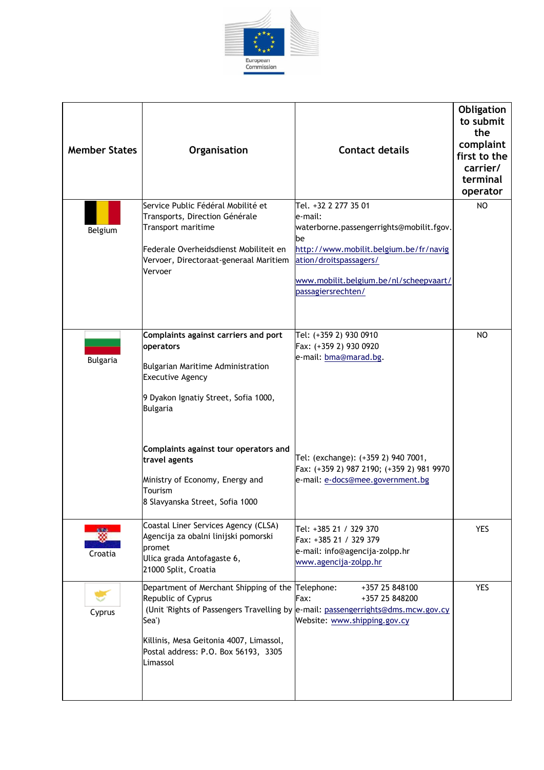

| <b>Member States</b>    | Organisation                                                                                                                                                                                                                                                                                                            | <b>Contact details</b>                                                                                                                                                                                                 | Obligation<br>to submit<br>the<br>complaint<br>first to the<br>carrier/<br>terminal<br>operator |
|-------------------------|-------------------------------------------------------------------------------------------------------------------------------------------------------------------------------------------------------------------------------------------------------------------------------------------------------------------------|------------------------------------------------------------------------------------------------------------------------------------------------------------------------------------------------------------------------|-------------------------------------------------------------------------------------------------|
| Belgium                 | Service Public Fédéral Mobilité et<br>Transports, Direction Générale<br>Transport maritime<br>Federale Overheidsdienst Mobiliteit en<br>Vervoer, Directoraat-generaal Maritiem<br>Vervoer                                                                                                                               | Tel. +32 2 277 35 01<br>le-mail:<br>waterborne.passengerrights@mobilit.fgov.<br>be<br>http://www.mobilit.belgium.be/fr/navig<br>ation/droitspassagers/<br>www.mobilit.belgium.be/nl/scheepvaart/<br>passagiersrechten/ | NO                                                                                              |
| <b>Bulgaria</b>         | Complaints against carriers and port<br>operators<br>Bulgarian Maritime Administration<br><b>Executive Agency</b><br>9 Dyakon Ignatiy Street, Sofia 1000,<br><b>Bulgaria</b><br>Complaints against tour operators and<br>travel agents<br>Ministry of Economy, Energy and<br>Tourism<br>8 Slavyanska Street, Sofia 1000 | Tel: (+359 2) 930 0910<br>Fax: (+359 2) 930 0920<br>e-mail: bma@marad.bg.<br>Tel: (exchange): (+359 2) 940 7001,<br>Fax: (+359 2) 987 2190; (+359 2) 981 9970<br>e-mail: e-docs@mee.government.bg                      | NO                                                                                              |
| <b>N</b> RNS<br>Croatia | Coastal Liner Services Agency (CLSA)<br>Agencija za obalni linijski pomorski<br>promet<br>Ulica grada Antofagaste 6,<br>21000 Split, Croatia                                                                                                                                                                            | Tel: +385 21 / 329 370<br>Fax: +385 21 / 329 379<br>e-mail: info@agencija-zolpp.hr<br>www.agencija-zolpp.hr                                                                                                            | <b>YES</b>                                                                                      |
| Cyprus                  | Department of Merchant Shipping of the Telephone:<br>Republic of Cyprus<br>Sea')<br>Killinis, Mesa Geitonia 4007, Limassol,<br>Postal address: P.O. Box 56193, 3305<br>Limassol                                                                                                                                         | +357 25 848100<br>+357 25 848200<br>Fax:<br>(Unit 'Rights of Passengers Travelling by e-mail: passengerrights@dms.mcw.gov.cy<br>Website: www.shipping.gov.cy                                                           | <b>YES</b>                                                                                      |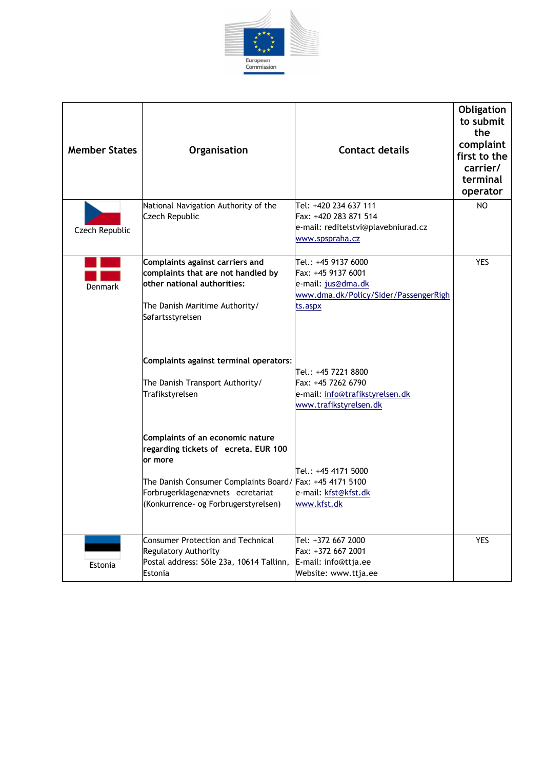

| <b>Member States</b> | Organisation                                                                                                                                                                                                                | <b>Contact details</b>                                                                                              | Obligation<br>to submit<br>the<br>complaint<br>first to the<br>carrier/<br>terminal<br>operator |
|----------------------|-----------------------------------------------------------------------------------------------------------------------------------------------------------------------------------------------------------------------------|---------------------------------------------------------------------------------------------------------------------|-------------------------------------------------------------------------------------------------|
| Czech Republic       | National Navigation Authority of the<br>Czech Republic                                                                                                                                                                      | Tel: +420 234 637 111<br>Fax: +420 283 871 514<br>e-mail: reditelstvi@plavebniurad.cz<br>www.spspraha.cz            | NO                                                                                              |
| Denmark              | Complaints against carriers and<br>complaints that are not handled by<br>other national authorities:<br>The Danish Maritime Authority/<br>Søfartsstyrelsen                                                                  | Tel.: +45 9137 6000<br>Fax: +45 9137 6001<br>e-mail: jus@dma.dk<br>www.dma.dk/Policy/Sider/PassengerRigh<br>ts.aspx | <b>YES</b>                                                                                      |
|                      | Complaints against terminal operators:<br>The Danish Transport Authority/<br>Trafikstyrelsen                                                                                                                                | Tel.: +45 7221 8800<br>Fax: +45 7262 6790<br>e-mail: info@trafikstyrelsen.dk<br>www.trafikstyrelsen.dk              |                                                                                                 |
|                      | Complaints of an economic nature<br>regarding tickets of ecreta. EUR 100<br>or more<br>The Danish Consumer Complaints Board/ Fax: +45 4171 5100<br>Forbrugerklagenævnets ecretariat<br>(Konkurrence- og Forbrugerstyrelsen) | Tel.: +45 4171 5000<br>e-mail: kfst@kfst.dk<br>www.kfst.dk                                                          |                                                                                                 |
| Estonia              | <b>Consumer Protection and Technical</b><br><b>Regulatory Authority</b><br>Postal address: Sõle 23a, 10614 Tallinn,<br>Estonia                                                                                              | Tel: +372 667 2000<br>Fax: +372 667 2001<br>E-mail: info@ttja.ee<br>Website: www.ttja.ee                            | <b>YES</b>                                                                                      |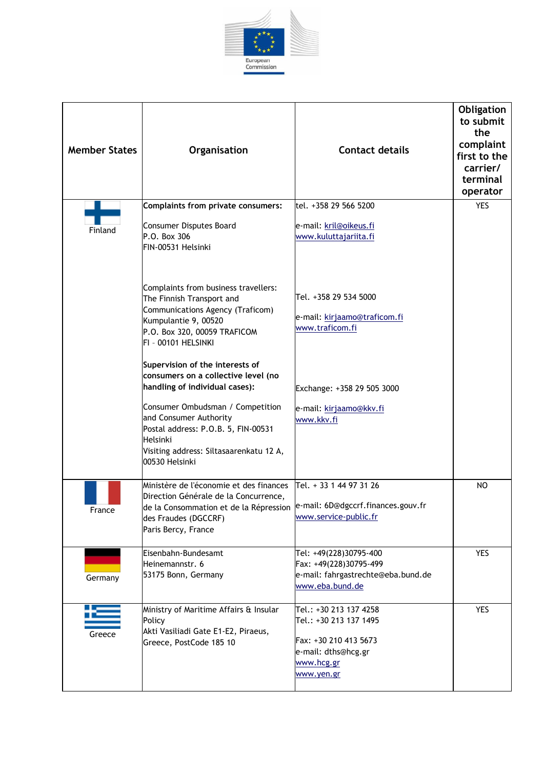

| <b>Member States</b> | Organisation                                                                                                                                                                                                                                                                           | <b>Contact details</b>                                                                                                       | Obligation<br>to submit<br>the<br>complaint<br>first to the<br>carrier/<br>terminal<br>operator |
|----------------------|----------------------------------------------------------------------------------------------------------------------------------------------------------------------------------------------------------------------------------------------------------------------------------------|------------------------------------------------------------------------------------------------------------------------------|-------------------------------------------------------------------------------------------------|
| Finland              | Complaints from private consumers:<br>Consumer Disputes Board<br>P.O. Box 306<br>FIN-00531 Helsinki                                                                                                                                                                                    | tel. +358 29 566 5200<br>e-mail: kril@oikeus.fi<br>www.kuluttajariita.fi                                                     | <b>YES</b>                                                                                      |
|                      | Complaints from business travellers:<br>The Finnish Transport and<br>Communications Agency (Traficom)<br>Kumpulantie 9, 00520<br>P.O. Box 320, 00059 TRAFICOM<br>FI - 00101 HELSINKI                                                                                                   | Tel. +358 29 534 5000<br>e-mail: kirjaamo@traficom.fi<br>www.traficom.fi                                                     |                                                                                                 |
|                      | Supervision of the interests of<br>consumers on a collective level (no<br>handling of individual cases):<br>Consumer Ombudsman / Competition<br>and Consumer Authority<br>Postal address: P.O.B. 5, FIN-00531<br>Helsinki<br>Visiting address: Siltasaarenkatu 12 A,<br>00530 Helsinki | Exchange: +358 29 505 3000<br>e-mail: kirjaamo@kkv.fi<br>www.kkv.fi                                                          |                                                                                                 |
| France               | Ministère de l'économie et des finances<br>Direction Générale de la Concurrence,<br>de la Consommation et de la Répression  e-mail: 6D@dgccrf.finances.gouv.fr<br>des Fraudes (DGCCRF)<br>Paris Bercy, France                                                                          | Tel. + 33 1 44 97 31 26<br>www.service-public.fr                                                                             | N <sub>O</sub>                                                                                  |
| Germany              | lEisenbahn-Bundesamt<br>Heinemannstr. 6<br>53175 Bonn, Germany                                                                                                                                                                                                                         | Tel: +49(228)30795-400<br>Fax: +49(228)30795-499<br>e-mail: fahrgastrechte@eba.bund.de<br>www.eba.bund.de                    | <b>YES</b>                                                                                      |
| Greece               | Ministry of Maritime Affairs & Insular<br>Policy<br>Akti Vasiliadi Gate E1-E2, Piraeus,<br>Greece, PostCode 185 10                                                                                                                                                                     | Tel.: +30 213 137 4258<br>Tel.: +30 213 137 1495<br>Fax: +30 210 413 5673<br>e-mail: dths@hcg.gr<br>www.hcg.gr<br>www.yen.gr | YES                                                                                             |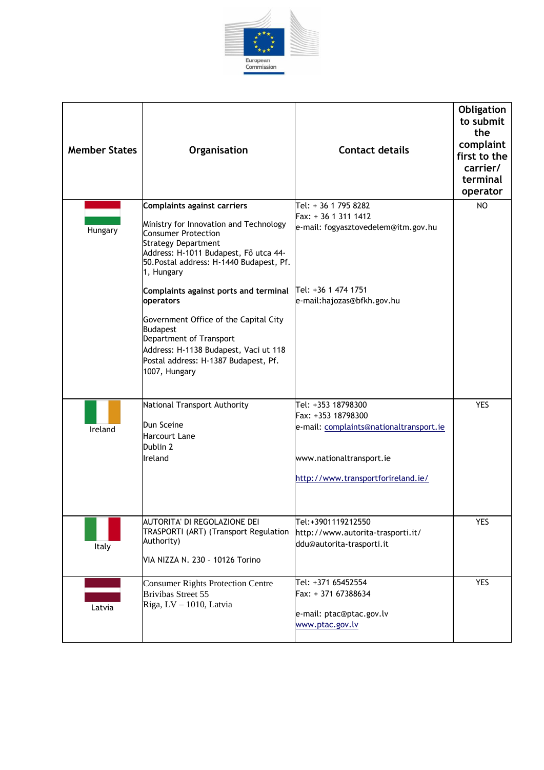

| <b>Member States</b> | Organisation                                                                                                                                                                                                                                                                                                                                           | <b>Contact details</b>                                                                                                                                | Obligation<br>to submit<br>the<br>complaint<br>first to the<br>carrier/<br>terminal<br>operator |
|----------------------|--------------------------------------------------------------------------------------------------------------------------------------------------------------------------------------------------------------------------------------------------------------------------------------------------------------------------------------------------------|-------------------------------------------------------------------------------------------------------------------------------------------------------|-------------------------------------------------------------------------------------------------|
| Hungary              | Complaints against carriers<br>Ministry for Innovation and Technology<br><b>Consumer Protection</b><br><b>Strategy Department</b><br>Address: H-1011 Budapest, Fő utca 44-<br>50. Postal address: H-1440 Budapest, Pf.<br>1, Hungary<br>Complaints against ports and terminal<br>operators<br>Government Office of the Capital City<br><b>Budapest</b> | Tel: + 36 1 795 8282<br>Fax: + 36 1 311 1412<br>e-mail: fogyasztovedelem@itm.gov.hu<br>Tel: +36 1 474 1751<br>e-mail:hajozas@bfkh.gov.hu              | NO.                                                                                             |
|                      | Department of Transport<br>Address: H-1138 Budapest, Vaci ut 118<br>Postal address: H-1387 Budapest, Pf.<br>1007, Hungary                                                                                                                                                                                                                              |                                                                                                                                                       |                                                                                                 |
| Ireland              | National Transport Authority<br>Dun Sceine<br><b>Harcourt Lane</b><br>Dublin 2<br>Ireland                                                                                                                                                                                                                                                              | Tel: +353 18798300<br>Fax: +353 18798300<br>e-mail: complaints@nationaltransport.ie<br>www.nationaltransport.ie<br>http://www.transportforireland.ie/ | <b>YES</b>                                                                                      |
| Italy                | AUTORITA' DI REGOLAZIONE DEI<br>TRASPORTI (ART) (Transport Regulation<br>Authority)<br>VIA NIZZA N. 230 - 10126 Torino                                                                                                                                                                                                                                 | Tel:+3901119212550<br>http://www.autorita-trasporti.it/<br>ddu@autorita-trasporti.it                                                                  | <b>YES</b>                                                                                      |
| Latvia               | <b>Consumer Rights Protection Centre</b><br><b>Brivibas Street 55</b><br>Riga, LV - 1010, Latvia                                                                                                                                                                                                                                                       | Tel: +371 65452554<br>Fax: + 371 67388634<br>e-mail: ptac@ptac.gov.lv<br>www.ptac.gov.lv                                                              | <b>YES</b>                                                                                      |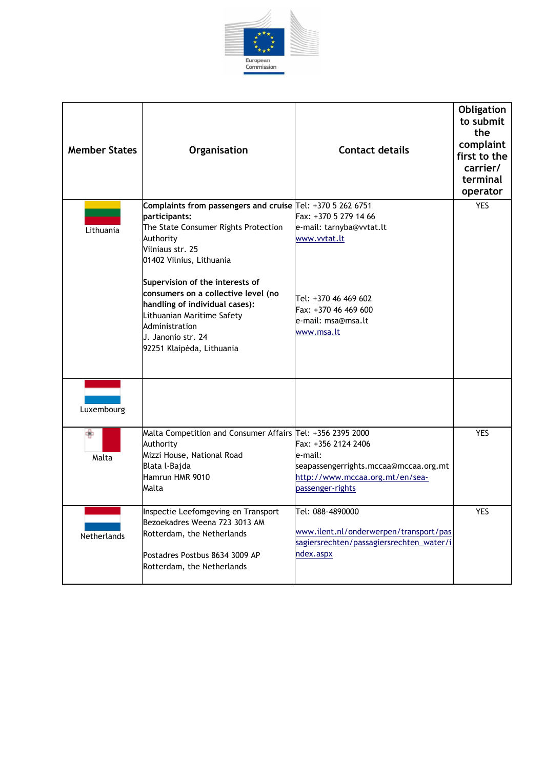

| <b>Member States</b> | Organisation                                                                                                                                                                                                | <b>Contact details</b>                                                                                                         | Obligation<br>to submit<br>the<br>complaint<br>first to the<br>carrier/<br>terminal<br>operator |
|----------------------|-------------------------------------------------------------------------------------------------------------------------------------------------------------------------------------------------------------|--------------------------------------------------------------------------------------------------------------------------------|-------------------------------------------------------------------------------------------------|
| Lithuania            | Complaints from passengers and cruise Tel: +370 5 262 6751<br>participants:<br>The State Consumer Rights Protection<br>Authority<br>Vilniaus str. 25<br>01402 Vilnius, Lithuania                            | Fax: +370 5 279 14 66<br>e-mail: tarnyba@vvtat.lt<br>www.vvtat.lt                                                              | <b>YES</b>                                                                                      |
|                      | Supervision of the interests of<br>consumers on a collective level (no<br>handling of individual cases):<br>Lithuanian Maritime Safety<br>Administration<br>U. Janonio str. 24<br>92251 Klaipėda, Lithuania | Tel: +370 46 469 602<br>Fax: +370 46 469 600<br>e-mail: msa@msa.lt<br>www.msa.lt                                               |                                                                                                 |
| Luxembourg           |                                                                                                                                                                                                             |                                                                                                                                |                                                                                                 |
| Ф<br>Malta           | Malta Competition and Consumer Affairs Tel: +356 2395 2000<br>Authority<br>Mizzi House, National Road<br>Blata l-Bajda<br>Hamrun HMR 9010<br>Malta                                                          | Fax: +356 2124 2406<br>e-mail:<br>seapassengerrights.mccaa@mccaa.org.mt<br>http://www.mccaa.org.mt/en/sea-<br>passenger-rights | <b>YES</b>                                                                                      |
| Netherlands          | Inspectie Leefomgeving en Transport<br>Bezoekadres Weena 723 3013 AM<br>Rotterdam, the Netherlands<br>Postadres Postbus 8634 3009 AP<br>Rotterdam, the Netherlands                                          | Tel: 088-4890000<br>www.ilent.nl/onderwerpen/transport/pas<br>sagiersrechten/passagiersrechten_water/i<br>ndex.aspx            | YES                                                                                             |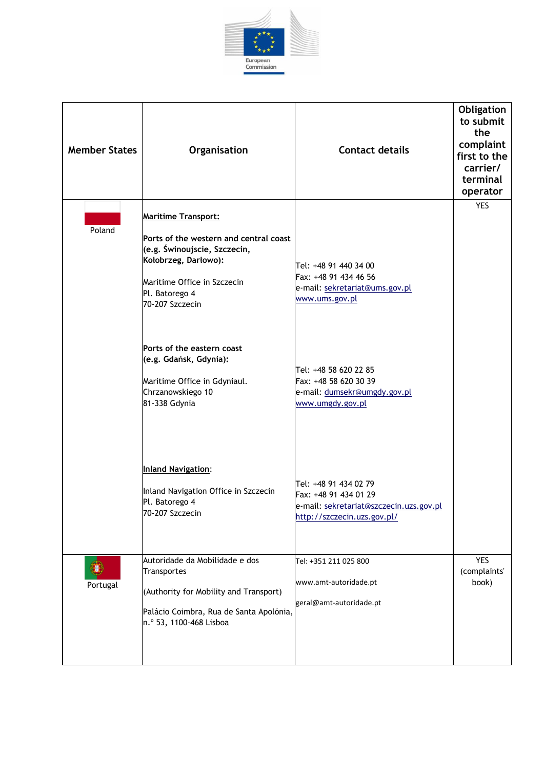

| <b>Member States</b> | Organisation                                                                                                                                                                                     | <b>Contact details</b>                                                                                                   | Obligation<br>to submit<br>the<br>complaint<br>first to the<br>carrier/<br>terminal<br>operator |
|----------------------|--------------------------------------------------------------------------------------------------------------------------------------------------------------------------------------------------|--------------------------------------------------------------------------------------------------------------------------|-------------------------------------------------------------------------------------------------|
| Poland               | <b>Maritime Transport:</b><br>Ports of the western and central coast<br>(e.g. Świnoujscie, Szczecin,<br>Kołobrzeg, Darłowo):<br>Maritime Office in Szczecin<br>Pl. Batorego 4<br>70-207 Szczecin | Tel: +48 91 440 34 00<br>Fax: +48 91 434 46 56<br>e-mail: sekretariat@ums.gov.pl<br>www.ums.gov.pl                       | <b>YES</b>                                                                                      |
|                      | Ports of the eastern coast<br>(e.g. Gdańsk, Gdynia):<br>Maritime Office in Gdyniaul.<br>Chrzanowskiego 10<br>81-338 Gdynia<br><b>Inland Navigation:</b>                                          | Tel: +48 58 620 22 85<br>Fax: +48 58 620 30 39<br>e-mail: dumsekr@umgdy.gov.pl<br>www.umgdy.gov.pl                       |                                                                                                 |
|                      | Inland Navigation Office in Szczecin<br>Pl. Batorego 4<br>70-207 Szczecin                                                                                                                        | Tel: +48 91 434 02 79<br>Fax: +48 91 434 01 29<br>e-mail: sekretariat@szczecin.uzs.gov.pl<br>http://szczecin.uzs.gov.pl/ |                                                                                                 |
| Portugal             | Autoridade da Mobilidade e dos<br>Transportes<br>(Authority for Mobility and Transport)<br>Palácio Coimbra, Rua de Santa Apolónia,<br>n.º 53, 1100-468 Lisboa                                    | Tel: +351 211 025 800<br>www.amt-autoridade.pt<br>geral@amt-autoridade.pt                                                | <b>YES</b><br>(complaints'<br>book)                                                             |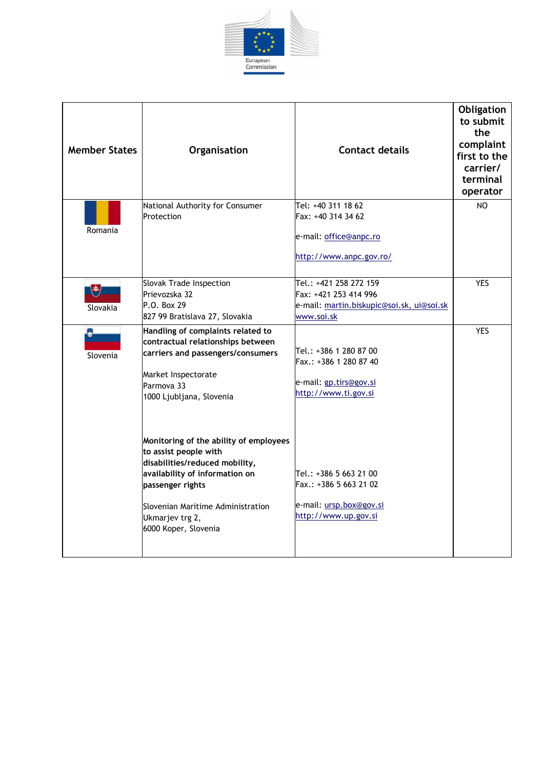

| <b>Member States</b> | Organisation                                                                                                                                                                                                                            | <b>Contact details</b>                                                                                     | Obligation<br>to submit<br>the<br>complaint<br>first to the<br>carrier/<br>terminal<br>operator |
|----------------------|-----------------------------------------------------------------------------------------------------------------------------------------------------------------------------------------------------------------------------------------|------------------------------------------------------------------------------------------------------------|-------------------------------------------------------------------------------------------------|
| Romania              | National Authority for Consumer<br>Protection                                                                                                                                                                                           | Tel: +40 311 18 62<br>Fax: +40 314 34 62<br>e-mail: office@anpc.ro<br>http://www.anpc.gov.ro/              | NO                                                                                              |
| 韩<br>Slovakia        | Slovak Trade Inspection<br>Prievozska 32<br>P.O. Box 29<br>827 99 Bratislava 27, Slovakia                                                                                                                                               | Tel.: +421 258 272 159<br>Fax: +421 253 414 996<br>e-mail: martin.biskupic@soi.sk, ui@soi.sk<br>www.soi.sk | <b>YES</b>                                                                                      |
| Slovenia             | Handling of complaints related to<br>contractual relationships between<br>carriers and passengers/consumers<br>Market Inspectorate<br>Parmova 33<br>1000 Ljubljana, Slovenia                                                            | Tel.: +386 1 280 87 00<br>Fax.: +386 1 280 87 40<br>e-mail: gp.tirs@gov.si<br>http://www.ti.gov.si         | <b>YES</b>                                                                                      |
|                      | Monitoring of the ability of employees<br>to assist people with<br>disabilities/reduced mobility,<br>availability of information on<br>passenger rights<br>Slovenian Maritime Administration<br>Ukmarjev trg 2,<br>6000 Koper, Slovenia | Tel.: +386 5 663 21 00<br>Fax.: +386 5 663 21 02<br>e-mail: ursp.box@gov.si<br>http://www.up.gov.si        |                                                                                                 |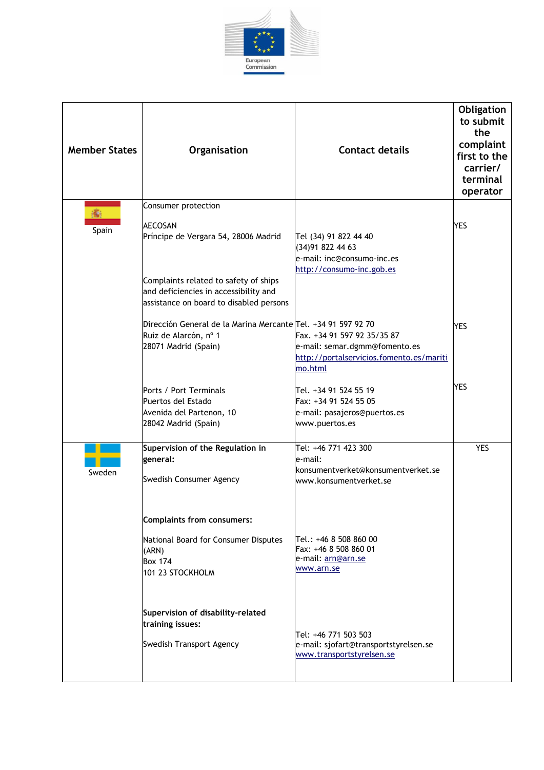

| <b>Member States</b> | Organisation                                                                                                                                                                                               | <b>Contact details</b>                                                                                              | Obligation<br>to submit<br>the<br>complaint<br>first to the<br>carrier/<br>terminal<br>operator |
|----------------------|------------------------------------------------------------------------------------------------------------------------------------------------------------------------------------------------------------|---------------------------------------------------------------------------------------------------------------------|-------------------------------------------------------------------------------------------------|
| 痛.<br>Spain          | Consumer protection<br><b>AECOSAN</b><br>Príncipe de Vergara 54, 28006 Madrid<br>Complaints related to safety of ships<br>and deficiencies in accessibility and<br>assistance on board to disabled persons | Tel (34) 91 822 44 40<br>(34) 91 822 44 63<br>e-mail: inc@consumo-inc.es<br>http://consumo-inc.gob.es               | <b>YES</b>                                                                                      |
|                      | Dirección General de la Marina Mercante Tel. +34 91 597 92 70<br>Ruiz de Alarcón, nº 1<br>28071 Madrid (Spain)                                                                                             | Fax. +34 91 597 92 35/35 87<br>e-mail: semar.dgmm@fomento.es<br>http://portalservicios.fomento.es/mariti<br>mo.html | <b>YES</b>                                                                                      |
|                      | Ports / Port Terminals<br>Puertos del Estado<br>Avenida del Partenon, 10<br>28042 Madrid (Spain)                                                                                                           | Tel. +34 91 524 55 19<br>Fax: +34 91 524 55 05<br>e-mail: pasajeros@puertos.es<br>www.puertos.es                    | <b>YES</b>                                                                                      |
| Sweden               | Supervision of the Regulation in<br>general:<br>Swedish Consumer Agency<br>Complaints from consumers:                                                                                                      | Tel: +46 771 423 300<br>e-mail:<br>konsumentverket@konsumentverket.se<br>www.konsumentverket.se                     | <b>YES</b>                                                                                      |
|                      | National Board for Consumer Disputes<br>(ARN)<br><b>Box 174</b><br>101 23 STOCKHOLM                                                                                                                        | Tel.: +46 8 508 860 00<br>Fax: +46 8 508 860 01<br>e-mail: arn@arn.se<br>www.arn.se                                 |                                                                                                 |
|                      | Supervision of disability-related<br>training issues:<br>Swedish Transport Agency                                                                                                                          | Tel: +46 771 503 503<br>e-mail: sjofart@transportstyrelsen.se<br>www.transportstyrelsen.se                          |                                                                                                 |